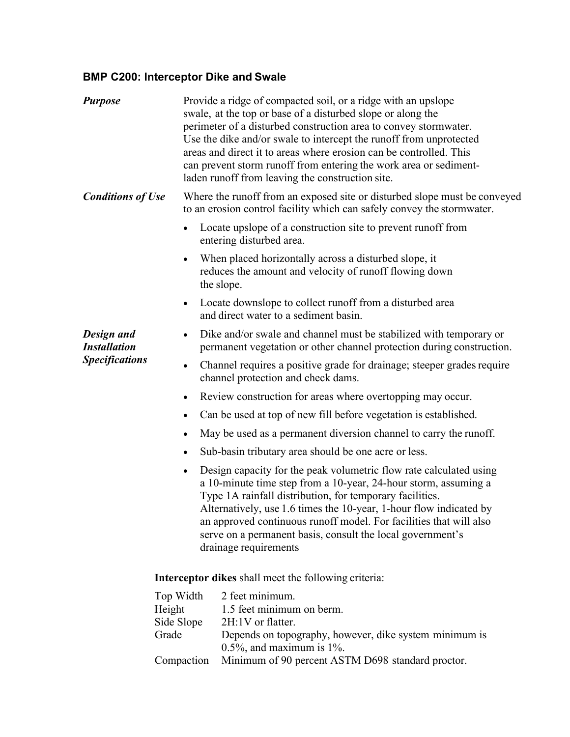## **BMP C200: Interceptor Dike and Swale**

<span id="page-0-0"></span>

| <b>Purpose</b>                                             |                                                             | Provide a ridge of compacted soil, or a ridge with an upslope<br>swale, at the top or base of a disturbed slope or along the<br>perimeter of a disturbed construction area to convey stormwater.<br>Use the dike and/or swale to intercept the runoff from unprotected<br>areas and direct it to areas where erosion can be controlled. This<br>can prevent storm runoff from entering the work area or sediment-<br>laden runoff from leaving the construction site. |  |
|------------------------------------------------------------|-------------------------------------------------------------|-----------------------------------------------------------------------------------------------------------------------------------------------------------------------------------------------------------------------------------------------------------------------------------------------------------------------------------------------------------------------------------------------------------------------------------------------------------------------|--|
| <b>Conditions of Use</b>                                   |                                                             | Where the runoff from an exposed site or disturbed slope must be conveyed<br>to an erosion control facility which can safely convey the stormwater.                                                                                                                                                                                                                                                                                                                   |  |
|                                                            | $\bullet$                                                   | Locate upslope of a construction site to prevent runoff from<br>entering disturbed area.                                                                                                                                                                                                                                                                                                                                                                              |  |
|                                                            | $\bullet$                                                   | When placed horizontally across a disturbed slope, it<br>reduces the amount and velocity of runoff flowing down<br>the slope.                                                                                                                                                                                                                                                                                                                                         |  |
|                                                            | $\bullet$                                                   | Locate downslope to collect runoff from a disturbed area<br>and direct water to a sediment basin.                                                                                                                                                                                                                                                                                                                                                                     |  |
| Design and<br><b>Installation</b><br><b>Specifications</b> | $\bullet$                                                   | Dike and/or swale and channel must be stabilized with temporary or<br>permanent vegetation or other channel protection during construction.                                                                                                                                                                                                                                                                                                                           |  |
|                                                            |                                                             | Channel requires a positive grade for drainage; steeper grades require<br>channel protection and check dams.                                                                                                                                                                                                                                                                                                                                                          |  |
|                                                            | $\bullet$                                                   | Review construction for areas where overtopping may occur.                                                                                                                                                                                                                                                                                                                                                                                                            |  |
|                                                            |                                                             | Can be used at top of new fill before vegetation is established.                                                                                                                                                                                                                                                                                                                                                                                                      |  |
|                                                            | $\bullet$                                                   | May be used as a permanent diversion channel to carry the runoff.                                                                                                                                                                                                                                                                                                                                                                                                     |  |
|                                                            | $\bullet$                                                   | Sub-basin tributary area should be one acre or less.                                                                                                                                                                                                                                                                                                                                                                                                                  |  |
|                                                            | $\bullet$                                                   | Design capacity for the peak volumetric flow rate calculated using<br>a 10-minute time step from a 10-year, 24-hour storm, assuming a<br>Type 1A rainfall distribution, for temporary facilities.<br>Alternatively, use 1.6 times the 10-year, 1-hour flow indicated by<br>an approved continuous runoff model. For facilities that will also<br>serve on a permanent basis, consult the local government's<br>drainage requirements                                  |  |
|                                                            | <b>Interceptor dikes</b> shall meet the following criteria: |                                                                                                                                                                                                                                                                                                                                                                                                                                                                       |  |
|                                                            | Top Width<br>Height<br>Side Slope<br>Grade                  | 2 feet minimum.<br>1.5 feet minimum on berm.<br>2H:1V or flatter.<br>Depends on topography, however, dike system minimum is<br>$0.5\%$ , and maximum is 1%.                                                                                                                                                                                                                                                                                                           |  |
|                                                            | Compaction                                                  | Minimum of 90 percent ASTM D698 standard proctor.                                                                                                                                                                                                                                                                                                                                                                                                                     |  |